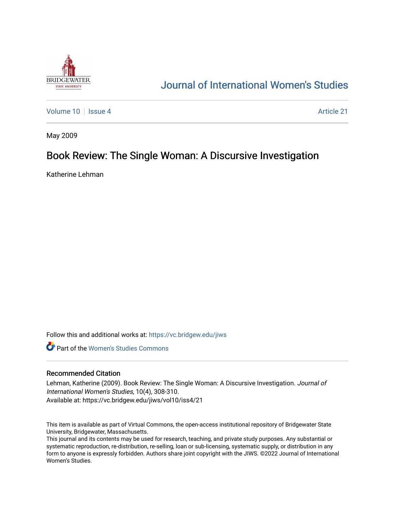

# [Journal of International Women's Studies](https://vc.bridgew.edu/jiws)

[Volume 10](https://vc.bridgew.edu/jiws/vol10) | [Issue 4](https://vc.bridgew.edu/jiws/vol10/iss4) Article 21

May 2009

## Book Review: The Single Woman: A Discursive Investigation

Katherine Lehman

Follow this and additional works at: [https://vc.bridgew.edu/jiws](https://vc.bridgew.edu/jiws?utm_source=vc.bridgew.edu%2Fjiws%2Fvol10%2Fiss4%2F21&utm_medium=PDF&utm_campaign=PDFCoverPages)

**C** Part of the Women's Studies Commons

#### Recommended Citation

Lehman, Katherine (2009). Book Review: The Single Woman: A Discursive Investigation. Journal of International Women's Studies, 10(4), 308-310. Available at: https://vc.bridgew.edu/jiws/vol10/iss4/21

This item is available as part of Virtual Commons, the open-access institutional repository of Bridgewater State University, Bridgewater, Massachusetts.

This journal and its contents may be used for research, teaching, and private study purposes. Any substantial or systematic reproduction, re-distribution, re-selling, loan or sub-licensing, systematic supply, or distribution in any form to anyone is expressly forbidden. Authors share joint copyright with the JIWS. ©2022 Journal of International Women's Studies.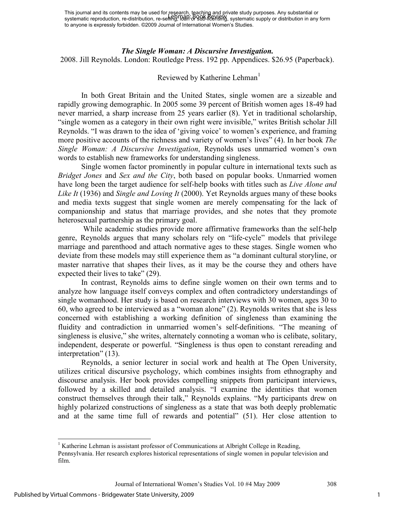#### *The Single Woman: A Discursive Investigation.*

2008. Jill Reynolds. London: Routledge Press. 192 pp. Appendices. \$26.95 (Paperback).

### Reviewed by Katherine Lehman<sup>1</sup>

In both Great Britain and the United States, single women are a sizeable and rapidly growing demographic. In 2005 some 39 percent of British women ages 18-49 had never married, a sharp increase from 25 years earlier (8). Yet in traditional scholarship, "single women as a category in their own right were invisible," writes British scholar Jill Reynolds. "I was drawn to the idea of 'giving voice' to women's experience, and framing more positive accounts of the richness and variety of women's lives" (4). In her book *The Single Woman: A Discursive Investigation*, Reynolds uses unmarried women's own words to establish new frameworks for understanding singleness.

Single women factor prominently in popular culture in international texts such as *Bridget Jones* and *Sex and the City*, both based on popular books. Unmarried women have long been the target audience for self-help books with titles such as *Live Alone and Like It* (1936) and *Single and Loving It* (2000). Yet Reynolds argues many of these books and media texts suggest that single women are merely compensating for the lack of companionship and status that marriage provides, and she notes that they promote heterosexual partnership as the primary goal.

 While academic studies provide more affirmative frameworks than the self-help genre, Reynolds argues that many scholars rely on "life-cycle" models that privilege marriage and parenthood and attach normative ages to these stages. Single women who deviate from these models may still experience them as "a dominant cultural storyline, or master narrative that shapes their lives, as it may be the course they and others have expected their lives to take" (29).

In contrast, Reynolds aims to define single women on their own terms and to analyze how language itself conveys complex and often contradictory understandings of single womanhood. Her study is based on research interviews with 30 women, ages 30 to 60, who agreed to be interviewed as a "woman alone" (2). Reynolds writes that she is less concerned with establishing a working definition of singleness than examining the fluidity and contradiction in unmarried women's self-definitions. "The meaning of singleness is elusive," she writes, alternately connoting a woman who is celibate, solitary, independent, desperate or powerful. "Singleness is thus open to constant rereading and interpretation" (13).

Reynolds, a senior lecturer in social work and health at The Open University, utilizes critical discursive psychology, which combines insights from ethnography and discourse analysis. Her book provides compelling snippets from participant interviews, followed by a skilled and detailed analysis. "I examine the identities that women construct themselves through their talk," Reynolds explains. "My participants drew on highly polarized constructions of singleness as a state that was both deeply problematic and at the same time full of rewards and potential" (51). Her close attention to

l

<sup>&</sup>lt;sup>1</sup> Katherine Lehman is assistant professor of Communications at Albright College in Reading, Pennsylvania. Her research explores historical representations of single women in popular television and film.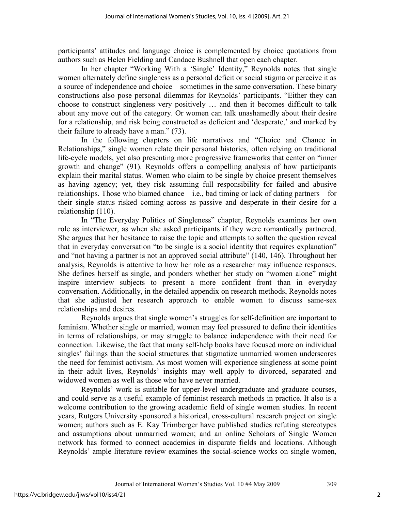participants' attitudes and language choice is complemented by choice quotations from authors such as Helen Fielding and Candace Bushnell that open each chapter.

In her chapter "Working With a 'Single' Identity," Reynolds notes that single women alternately define singleness as a personal deficit or social stigma or perceive it as a source of independence and choice – sometimes in the same conversation. These binary constructions also pose personal dilemmas for Reynolds' participants. "Either they can choose to construct singleness very positively … and then it becomes difficult to talk about any move out of the category. Or women can talk unashamedly about their desire for a relationship, and risk being constructed as deficient and 'desperate,' and marked by their failure to already have a man." (73).

In the following chapters on life narratives and "Choice and Chance in Relationships," single women relate their personal histories, often relying on traditional life-cycle models, yet also presenting more progressive frameworks that center on "inner growth and change" (91). Reynolds offers a compelling analysis of how participants explain their marital status. Women who claim to be single by choice present themselves as having agency; yet, they risk assuming full responsibility for failed and abusive relationships. Those who blamed chance  $-$  i.e., bad timing or lack of dating partners  $-$  for their single status risked coming across as passive and desperate in their desire for a relationship (110).

In "The Everyday Politics of Singleness" chapter, Reynolds examines her own role as interviewer, as when she asked participants if they were romantically partnered. She argues that her hesitance to raise the topic and attempts to soften the question reveal that in everyday conversation "to be single is a social identity that requires explanation" and "not having a partner is not an approved social attribute" (140, 146). Throughout her analysis, Reynolds is attentive to how her role as a researcher may influence responses. She defines herself as single, and ponders whether her study on "women alone" might inspire interview subjects to present a more confident front than in everyday conversation. Additionally, in the detailed appendix on research methods, Reynolds notes that she adjusted her research approach to enable women to discuss same-sex relationships and desires.

Reynolds argues that single women's struggles for self-definition are important to feminism. Whether single or married, women may feel pressured to define their identities in terms of relationships, or may struggle to balance independence with their need for connection. Likewise, the fact that many self-help books have focused more on individual singles' failings than the social structures that stigmatize unmarried women underscores the need for feminist activism. As most women will experience singleness at some point in their adult lives, Reynolds' insights may well apply to divorced, separated and widowed women as well as those who have never married.

Reynolds' work is suitable for upper-level undergraduate and graduate courses, and could serve as a useful example of feminist research methods in practice. It also is a welcome contribution to the growing academic field of single women studies. In recent years, Rutgers University sponsored a historical, cross-cultural research project on single women; authors such as E. Kay Trimberger have published studies refuting stereotypes and assumptions about unmarried women; and an online Scholars of Single Women network has formed to connect academics in disparate fields and locations. Although Reynolds' ample literature review examines the social-science works on single women,